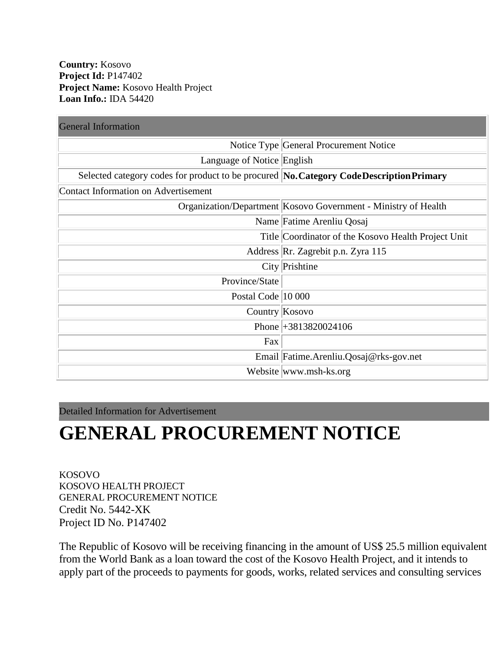**Country:** Kosovo **Project Id:** P147402 **Project Name:** Kosovo Health Project **Loan Info.:** IDA 54420

| <b>General Information</b>                                                               |                                                                |
|------------------------------------------------------------------------------------------|----------------------------------------------------------------|
|                                                                                          | Notice Type General Procurement Notice                         |
| Language of Notice English                                                               |                                                                |
| Selected category codes for product to be procured No. Category Code Description Primary |                                                                |
| Contact Information on Advertisement                                                     |                                                                |
|                                                                                          | Organization/Department Kosovo Government - Ministry of Health |
|                                                                                          | Name Fatime Arenliu Qosaj                                      |
|                                                                                          | Title Coordinator of the Kosovo Health Project Unit            |
|                                                                                          | Address Rr. Zagrebit p.n. Zyra 115                             |
|                                                                                          | City Prishtine                                                 |
| Province/State                                                                           |                                                                |
| Postal Code 10 000                                                                       |                                                                |
| Country Kosovo                                                                           |                                                                |
|                                                                                          | Phone +3813820024106                                           |
| Fax                                                                                      |                                                                |
|                                                                                          | Email Fatime.Arenliu.Qosaj@rks-gov.net                         |
|                                                                                          | Website www.msh-ks.org                                         |

Detailed Information for Advertisement

## **GENERAL PROCUREMENT NOTICE**

KOSOVO KOSOVO HEALTH PROJECT GENERAL PROCUREMENT NOTICE Credit No. 5442-XK Project ID No. P147402

The Republic of Kosovo will be receiving financing in the amount of US\$ 25.5 million equivalent from the World Bank as a loan toward the cost of the Kosovo Health Project, and it intends to apply part of the proceeds to payments for goods, works, related services and consulting services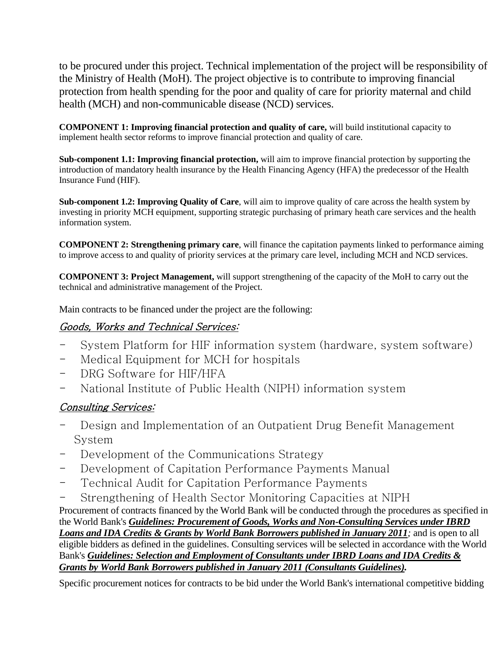to be procured under this project. Technical implementation of the project will be responsibility of the Ministry of Health (MoH). The project objective is to contribute to improving financial protection from health spending for the poor and quality of care for priority maternal and child health (MCH) and non-communicable disease (NCD) services.

**COMPONENT 1: Improving financial protection and quality of care,** will build institutional capacity to implement health sector reforms to improve financial protection and quality of care.

**Sub-component 1.1: Improving financial protection,** will aim to improve financial protection by supporting the introduction of mandatory health insurance by the Health Financing Agency (HFA) the predecessor of the Health Insurance Fund (HIF).

**Sub-component 1.2: Improving Quality of Care**, will aim to improve quality of care across the health system by investing in priority MCH equipment, supporting strategic purchasing of primary heath care services and the health information system.

**COMPONENT 2: Strengthening primary care**, will finance the capitation payments linked to performance aiming to improve access to and quality of priority services at the primary care level, including MCH and NCD services.

**COMPONENT 3: Project Management,** will support strengthening of the capacity of the MoH to carry out the technical and administrative management of the Project.

Main contracts to be financed under the project are the following:

## Goods, Works and Technical Services:

- System Platform for HIF information system (hardware, system software)
- Medical Equipment for MCH for hospitals
- DRG Software for HIF/HFA
- National Institute of Public Health (NIPH) information system

## Consulting Services:

- Design and Implementation of an Outpatient Drug Benefit Management System
- Development of the Communications Strategy
- Development of Capitation Performance Payments Manual
- Technical Audit for Capitation Performance Payments
- Strengthening of Health Sector Monitoring Capacities at NIPH

Procurement of contracts financed by the World Bank will be conducted through the procedures as specified in the World Bank's *[Guidelines: Procurement of Goods, Works and Non-Consulting Services under IBRD](http://www.worldbank.org/html/opr/procure/guidelin.html)  [Loans and IDA Credits](http://www.worldbank.org/html/opr/procure/guidelin.html) & Grants by World Bank Borrowers published in January 2011;* and is open to all eligible bidders as defined in the guidelines. Consulting services will be selected in accordance with the World Bank's *[Guidelines: Selection and Employment of Consultants](http://www.worldbank.org/html/opr/consult/contents.html) under IBRD Loans and IDA Credits & [Grants by World Bank Borrowers published in January 2011 \(Consultants Guidelines\).](http://www.worldbank.org/html/opr/consult/contents.html)*

Specific procurement notices for contracts to be bid under the World Bank's international competitive bidding